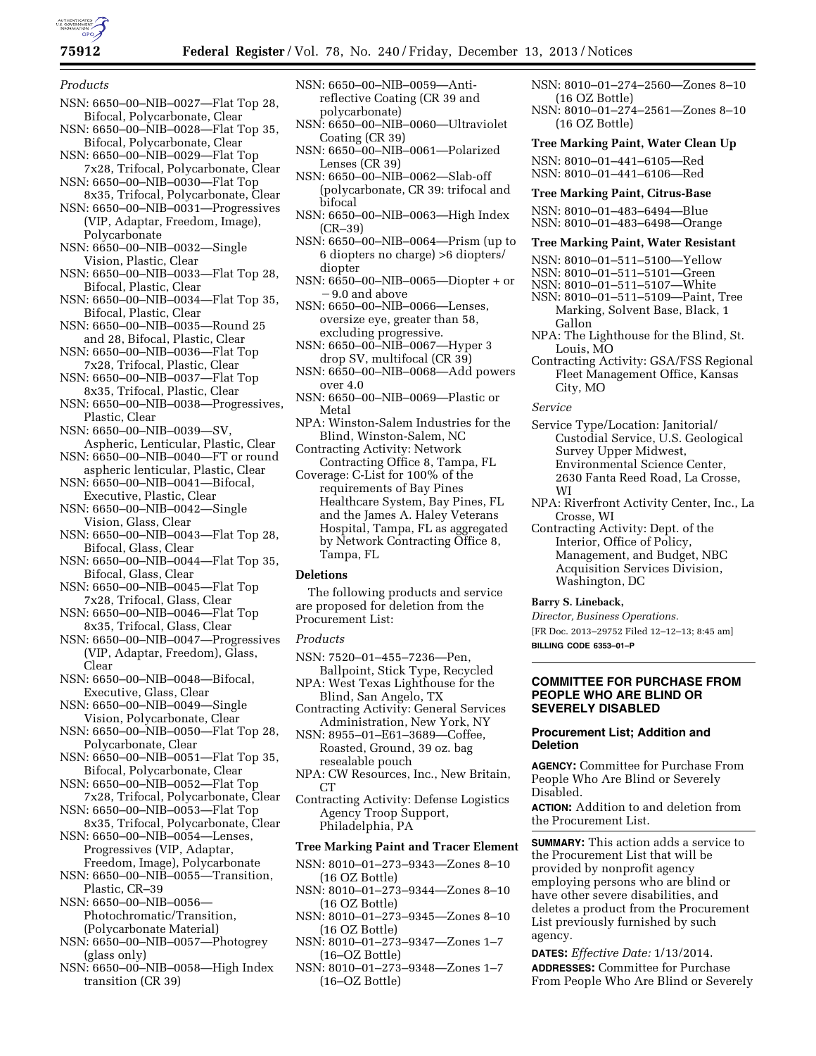

### *Products*

- NSN: 6650–00–NIB–0027—Flat Top 28, Bifocal, Polycarbonate, Clear
- NSN: 6650–00–NIB–0028—Flat Top 35, Bifocal, Polycarbonate, Clear
- NSN: 6650–00–NIB–0029—Flat Top 7x28, Trifocal, Polycarbonate, Clear NSN: 6650–00–NIB–0030—Flat Top
- 8x35, Trifocal, Polycarbonate, Clear NSN: 6650–00–NIB–0031—Progressives
- (VIP, Adaptar, Freedom, Image), Polycarbonate NSN: 6650–00–NIB–0032—Single
- Vision, Plastic, Clear
- NSN: 6650–00–NIB–0033—Flat Top 28, Bifocal, Plastic, Clear
- NSN: 6650–00–NIB–0034—Flat Top 35, Bifocal, Plastic, Clear
- NSN: 6650–00–NIB–0035—Round 25 and 28, Bifocal, Plastic, Clear
- NSN: 6650–00–NIB–0036—Flat Top 7x28, Trifocal, Plastic, Clear
- NSN: 6650–00–NIB–0037—Flat Top 8x35, Trifocal, Plastic, Clear
- NSN: 6650–00–NIB–0038—Progressives, Plastic, Clear
- NSN: 6650–00–NIB–0039—SV,
- Aspheric, Lenticular, Plastic, Clear NSN: 6650–00–NIB–0040—FT or round
- aspheric lenticular, Plastic, Clear NSN: 6650–00–NIB–0041—Bifocal,
- Executive, Plastic, Clear NSN: 6650–00–NIB–0042—Single
- Vision, Glass, Clear
- NSN: 6650–00–NIB–0043—Flat Top 28, Bifocal, Glass, Clear
- NSN: 6650–00–NIB–0044—Flat Top 35, Bifocal, Glass, Clear
- NSN: 6650–00–NIB–0045—Flat Top 7x28, Trifocal, Glass, Clear
- NSN: 6650–00–NIB–0046—Flat Top 8x35, Trifocal, Glass, Clear
- NSN: 6650–00–NIB–0047—Progressives (VIP, Adaptar, Freedom), Glass, Clear
- NSN: 6650–00–NIB–0048—Bifocal, Executive, Glass, Clear
- NSN: 6650–00–NIB–0049—Single Vision, Polycarbonate, Clear
- NSN: 6650–00–NIB–0050—Flat Top 28, Polycarbonate, Clear
- NSN: 6650–00–NIB–0051—Flat Top 35, Bifocal, Polycarbonate, Clear
- NSN: 6650–00–NIB–0052—Flat Top 7x28, Trifocal, Polycarbonate, Clear
- NSN: 6650–00–NIB–0053—Flat Top 8x35, Trifocal, Polycarbonate, Clear
- NSN: 6650–00–NIB–0054—Lenses, Progressives (VIP, Adaptar, Freedom, Image), Polycarbonate
- NSN: 6650–00–NIB–0055—Transition, Plastic, CR–39
- NSN: 6650–00–NIB–0056— Photochromatic/Transition, (Polycarbonate Material)
- NSN: 6650–00–NIB–0057—Photogrey (glass only)
- NSN: 6650–00–NIB–0058—High Index transition (CR 39)
- NSN: 6650–00–NIB–0059—Antireflective Coating (CR 39 and polycarbonate)
- NSN: 6650–00–NIB–0060—Ultraviolet Coating (CR 39)
- NSN: 6650–00–NIB–0061—Polarized Lenses (CR 39)
- NSN: 6650–00–NIB–0062—Slab-off (polycarbonate, CR 39: trifocal and bifocal
- NSN: 6650–00–NIB–0063—High Index (CR–39)
- NSN: 6650–00–NIB–0064—Prism (up to 6 diopters no charge) >6 diopters/ diopter
- NSN: 6650–00–NIB–0065—Diopter + or – 9.0 and above
- NSN: 6650–00–NIB–0066—Lenses, oversize eye, greater than 58, excluding progressive.
- NSN: 6650–00–NIB–0067—Hyper 3 drop SV, multifocal (CR 39)
- NSN: 6650–00–NIB–0068—Add powers over 4.0
- NSN: 6650–00–NIB–0069—Plastic or Metal
- NPA: Winston-Salem Industries for the Blind, Winston-Salem, NC
- Contracting Activity: Network Contracting Office 8, Tampa, FL
- Coverage: C-List for 100% of the requirements of Bay Pines Healthcare System, Bay Pines, FL and the James A. Haley Veterans Hospital, Tampa, FL as aggregated by Network Contracting Office 8, Tampa, FL

### **Deletions**

The following products and service are proposed for deletion from the Procurement List:

#### *Products*

- NSN: 7520–01–455–7236—Pen, Ballpoint, Stick Type, Recycled
- NPA: West Texas Lighthouse for the Blind, San Angelo, TX
- Contracting Activity: General Services Administration, New York, NY

NSN: 8955–01–E61–3689—Coffee, Roasted, Ground, 39 oz. bag resealable pouch

- NPA: CW Resources, Inc., New Britain, CT
- Contracting Activity: Defense Logistics Agency Troop Support, Philadelphia, PA

### **Tree Marking Paint and Tracer Element**

- NSN: 8010–01–273–9343—Zones 8–10 (16 OZ Bottle)
- NSN: 8010–01–273–9344—Zones 8–10 (16 OZ Bottle)
- NSN: 8010–01–273–9345—Zones 8–10 (16 OZ Bottle)
- NSN: 8010–01–273–9347—Zones 1–7 (16–OZ Bottle)
- NSN: 8010–01–273–9348—Zones 1–7 (16–OZ Bottle)
- NSN: 8010–01–274–2560—Zones 8–10 (16 OZ Bottle)
- NSN: 8010–01–274–2561—Zones 8–10 (16 OZ Bottle)
- **Tree Marking Paint, Water Clean Up**

NSN: 8010–01–441–6105—Red NSN: 8010–01–441–6106—Red

#### **Tree Marking Paint, Citrus-Base**

NSN: 8010–01–483–6494—Blue NSN: 8010–01–483–6498—Orange

#### **Tree Marking Paint, Water Resistant**

- NSN: 8010–01–511–5100—Yellow
- NSN: 8010–01–511–5101—Green
- NSN: 8010–01–511–5107—White
- NSN: 8010–01–511–5109—Paint, Tree Marking, Solvent Base, Black, 1 Gallon
- NPA: The Lighthouse for the Blind, St. Louis, MO
- Contracting Activity: GSA/FSS Regional Fleet Management Office, Kansas City, MO

*Service* 

- Service Type/Location: Janitorial/ Custodial Service, U.S. Geological Survey Upper Midwest, Environmental Science Center, 2630 Fanta Reed Road, La Crosse, WI
- NPA: Riverfront Activity Center, Inc., La Crosse, WI
- Contracting Activity: Dept. of the Interior, Office of Policy, Management, and Budget, NBC Acquisition Services Division, Washington, DC

### **Barry S. Lineback,**

*Director, Business Operations.* 

[FR Doc. 2013–29752 Filed 12–12–13; 8:45 am] **BILLING CODE 6353–01–P** 

### **COMMITTEE FOR PURCHASE FROM PEOPLE WHO ARE BLIND OR SEVERELY DISABLED**

# **Procurement List; Addition and Deletion**

**AGENCY:** Committee for Purchase From People Who Are Blind or Severely Disabled.

**ACTION:** Addition to and deletion from the Procurement List.

**SUMMARY:** This action adds a service to the Procurement List that will be provided by nonprofit agency employing persons who are blind or have other severe disabilities, and deletes a product from the Procurement List previously furnished by such agency.

**DATES:** *Effective Date:* 1/13/2014. **ADDRESSES:** Committee for Purchase From People Who Are Blind or Severely